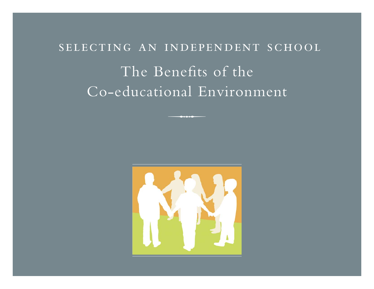# selecting an independent school The Benefits of the Co-educational Environment

 $-$  -  $+$   $+$   $+$   $-$ 

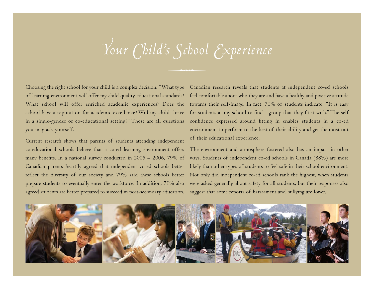# *Your Child's School Experience*

 $-$  -  $+$   $+$   $+$   $-$ 

Choosing the right school for your child is a complex decision. "What type of learning environment will offer my child quality educational standards? What school will offer enriched academic experiences? Does the school have a reputation for academic excellence? Will my child thrive in a single-gender or co-educational setting?" These are all questions you may ask yourself.

Current research shows that parents of students attending independent co-educational schools believe that a co-ed learning environment offers many benefits. In a national survey conducted in 2005 – 2006, 79% of Canadian parents heartily agreed that independent co-ed schools better reflect the diversity of our society and 79% said these schools better prepare students to eventually enter the workforce. In addition, 71% also agreed students are better prepared to succeed in post-secondary education.

Canadian research reveals that students at independent co-ed schools feel comfortable about who they are and have a healthy and positive attitude towards their self-image. In fact, 71% of students indicate, "It is easy for students at my school to find a group that they fit it with." The self confidence expressed around fitting in enables students in a co-ed environment to perform to the best of their ability and get the most out of their educational experience.

The environment and atmosphere fostered also has an impact in other ways. Students of independent co-ed schools in Canada (88%) are more likely than other types of students to feel safe in their school environment. Not only did independent co-ed schools rank the highest, when students were asked generally about safety for all students, but their responses also suggest that some reports of harassment and bullying are lower.

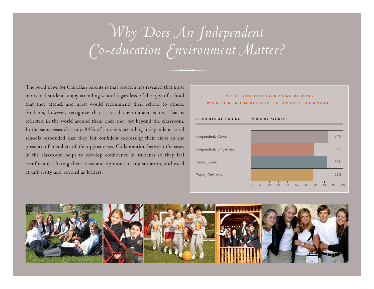# *Why Does An Independent Co-education Environment Matter?*

 $-$  -  $+$   $+$   $+$   $-$ 

The good news for Canadian parents is that research has revealed that most motivated students enjoy attending school regardless of the type of school that they attend, and most would recommend their school to others. Students, however, recognize that a co-ed environment is one that is reflected in the world around them once they get beyond the classroom. In the same research study, 84% of students attending independent co-ed schools responded that they felt confident expressing their views in the presence of members of the opposite sex. Collaboration between the sexes in the classroom helps to develop confidence in students so they feel comfortable sharing their ideas and opinions in any situation, and excel at university and beyond as leaders.



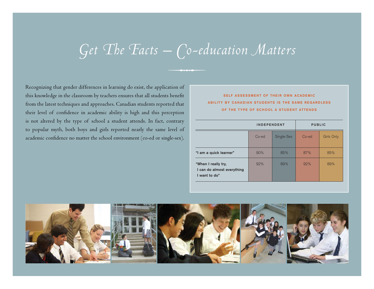# *Get The Facts – Co-education Matters*

 $-$  -  $+$   $+$   $+$   $-$ 

Recognizing that gender differences in learning do exist, the application of this knowledge in the classroom by teachers ensures that all students benefit from the latest techniques and approaches. Canadian students reported that their level of confidence in academic ability is high and this perception is not altered by the type of school a student attends. In fact, contrary to popular myth, both boys and girls reported nearly the same level of academic confidence no matter the school environment (co-ed or single-sex).

# **SELF ASSESSMENT OF THEIR OWN ACADEMIC ABILITY BY CANADIAN STUDENTS IS THE SAME REGARDLESS OF THE TYPE OF SCHOOL A STUDENT ATTENDS**

|                                                                    | <b>INDEPENDENT</b> |            | <b>PUBLIC</b> |            |
|--------------------------------------------------------------------|--------------------|------------|---------------|------------|
|                                                                    | $Co-ed$            | Single-Sex | Co-ed         | Girls Only |
| "I am a quick learner"                                             | 90%                | 85%        | 87%           | 85%        |
| "When I really try,<br>I can do almost everything<br>I want to do" | 92%                | 89%        | 92%           | 89%        |

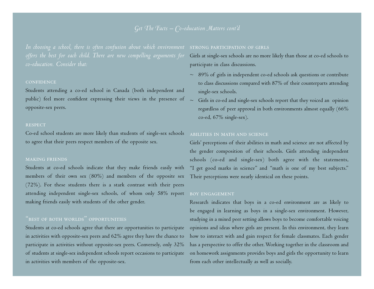# *Get The Facts – Co-education Matters cont'd*

In choosing a school, there is often confusion about which environment <code>strong</code> <code>participation of GIRLS</code> *offers the best for each child. There are new compelling arguments for co-education. Consider that:*

#### **CONFIDENCE**

Students attending a co-ed school in Canada (both independent and public) feel more confident expressing their views in the presence of  $\;\sim\;$ opposite-sex peers.

#### **RESPECT**

Co-ed school students are more likely than students of single-sex schools to agree that their peers respect members of the opposite sex.

### making friends

Students at co-ed schools indicate that they make friends easily with members of their own sex (80%) and members of the opposite sex (72%). For these students there is a stark contrast with their peers attending independent single-sex schools, of whom only 58% report making friends easily with students of the other gender.

## " best of both worlds " opportunities

Students at co-ed schools agree that there are opportunities to participate in activities with opposite-sex peers and 62% agree they have the chance to participate in activities without opposite-sex peers. Conversely, only 32% of students at single-sex independent schools report occasions to participate in activities with members of the opposite-sex.

Girls at single-sex schools are no more likely than those at co-ed schools to participate in class discussions.

- $\sim$   $\,$  89% of girls in independent co-ed schools ask questions or contribute to class discussions compared with 87% of their counterparts attending single-sex schools.
- Girls in co-ed and single-sex schools report that they voiced an opinion regardless of peer approval in both environments almost equally (66% co-ed, 67% single-sex).

### abilities in math and science

Girls' perceptions of their abilities in math and science are not affected by the gender composition of their schools. Girls attending independent schools (co-ed and single-sex) both agree with the statements, "I get good marks in science" and "math is one of my best subjects." Their perceptions were nearly identical on these points.

### boy engagement

Research indicates that boys in a co-ed environment are as likely to be engaged in learning as boys in a single-sex environment. However, studying in a mixed peer setting allows boys to become comfortable voicing opinions and ideas where girls are present. In this environment, they learn how to interact with and gain respect for female classmates. Each gender has a perspective to offer the other. Working together in the classroom and on homework assignments provides boys and girls the opportunity to learn from each other intellectually as well as socially.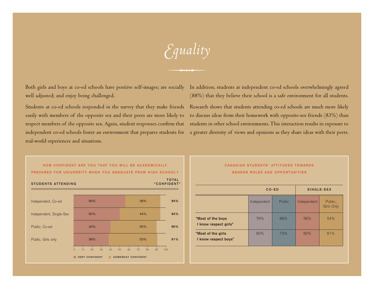*Equality*

 $-$  -  $+$   $+$   $+$   $-$ 

well adjusted; and enjoy being challenged.

Students at co-ed schools responded in the survey that they make friends Research shows that students attending co-ed schools are much more likely easily with members of the opposite sex and their peers are more likely to to discuss ideas from their homework with opposite-sex friends (83%) than respect members of the opposite sex. Again, student responses confirm that wstudents in other school environments. This interaction results in exposure to independent co-ed schools foster an environment that prepares students for a greater diversity of views and opinions as they share ideas with their peers. real-world experiences and situations.

Both girls and boys at co-ed schools have positive self-images; are socially In addition, students at independent co-ed schools overwhelmingly agreed (88%) that they believe their school is a safe environment for all students.



### **CANADIAN STUDENTS' ATTITUDES TOWARDS GENDER ROLES AND OPPORTUNITIES**

|                                             |             | CO-ED  | SINGLE-SEX  |                              |  |
|---------------------------------------------|-------------|--------|-------------|------------------------------|--|
|                                             | Independent | Public | Independent | Public,<br><b>Girls Only</b> |  |
| "Most of the boys"<br>I know respect girls" | 76%         | 68%    | 56%         | 54%                          |  |
| "Most of the girls"<br>I know respect boys" | 80%         | 73%    | 62%         | 61%                          |  |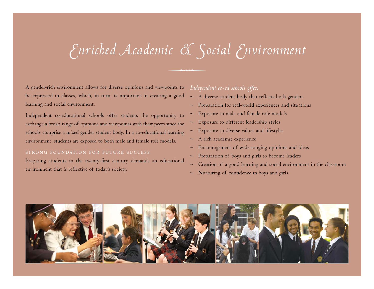# *Enriched Academic & Social Environment*

 $-$  -  $+$   $+$   $+$   $-$ 

A gender-rich environment allows for diverse opinions and viewpoints to be expressed in classes, which, in turn, is important in creating a good learning and social environment.

Independent co-educational schools offer students the opportunity to exchange a broad range of opinions and viewpoints with their peers since the schools comprise a mixed gender student body. In a co-educational learning environment, students are exposed to both male and female role models.

### strong foundation for future success

Preparing students in the twenty-first century demands an educational environment that is reflective of today's society.

# *Independent co-ed schools offer:*

- $\sim$   $\,$  A diverse student body that reflects both genders
- $\sim$   $\,$  Preparation for real-world experiences and situations
- $\sim$   $\,$  Exposure to male and female role models
- $\sim$   $\,$  Exposure to different leadership styles
- $\sim$   $\,$  Exposure to diverse values and lifestyles
- $\sim$   $\,$  A rich academic experience
- $\sim$  Encouragement of wide-ranging opinions and ideas  $\,$
- $\sim$   $\,$  Preparation of boys and girls to become leaders
- $\sim$   $\,$  Creation of a good learning and social environment in the classroom
- $\sim$   $\,$  Nurturing of confidence in boys and girls